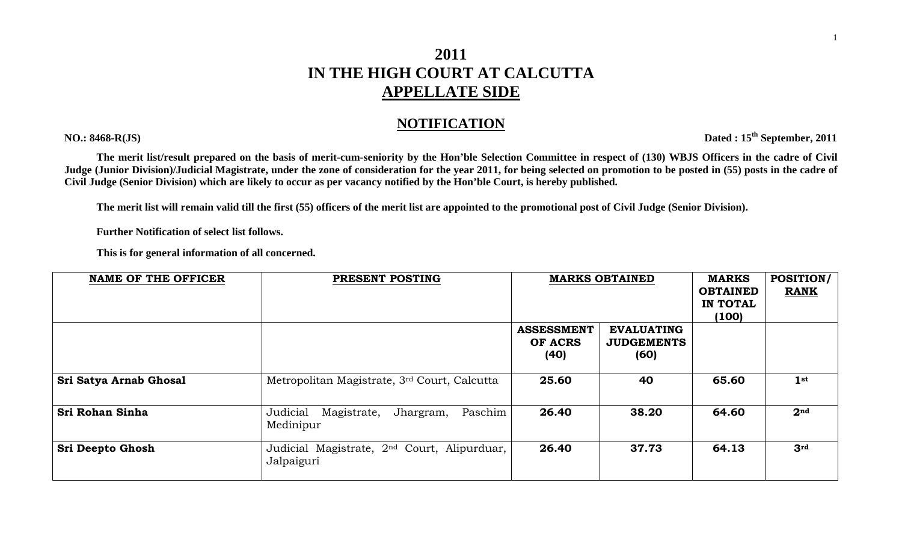## **2011 IN THE HIGH COURT AT CALCUTTA APPELLATE SIDE**

## **NOTIFICATION**

**The merit list/result prepared on the basis of merit-cum-seniority by the Hon'ble Selection Committee in respect of (130) WBJS Officers in the cadre of Civil Judge (Junior Division)/Judicial Magistrate, under the zone of consideration for the year 2011, for being selected on promotion to be posted in (55) posts in the cadre of Civil Judge (Senior Division) which are likely to occur as per vacancy notified by the Hon'ble Court, is hereby published.** 

**The merit list will remain valid till the first (55) officers of the merit list are appointed to the promotional post of Civil Judge (Senior Division).** 

 **Further Notification of select list follows.** 

 **This is for general information of all concerned.** 

| <b>NAME OF THE OFFICER</b> | PRESENT POSTING                                                       | <b>MARKS OBTAINED</b>        |                                        | <b>MARKS</b><br><b>OBTAINED</b> | <b>POSITION/</b><br><b>RANK</b> |
|----------------------------|-----------------------------------------------------------------------|------------------------------|----------------------------------------|---------------------------------|---------------------------------|
|                            |                                                                       |                              |                                        | IN TOTAL                        |                                 |
|                            |                                                                       |                              |                                        | (100)                           |                                 |
|                            |                                                                       | <b>ASSESSMENT</b><br>OF ACRS | <b>EVALUATING</b><br><b>JUDGEMENTS</b> |                                 |                                 |
|                            |                                                                       | (40)                         | (60)                                   |                                 |                                 |
| Sri Satya Arnab Ghosal     | Metropolitan Magistrate, 3rd Court, Calcutta                          | 25.60                        | 40                                     | 65.60                           | 1 <sup>st</sup>                 |
| Sri Rohan Sinha            | Judicial<br>Jhargram,<br>Paschim<br>Magistrate,<br>Medinipur          | 26.40                        | 38.20                                  | 64.60                           | 2 <sup>nd</sup>                 |
| <b>Sri Deepto Ghosh</b>    | Judicial Magistrate, 2 <sup>nd</sup> Court, Alipurduar,<br>Jalpaiguri | 26.40                        | 37.73                                  | 64.13                           | 3 <sup>rd</sup>                 |

1

**NO.: 8468-R(JS) Dated : 15th September, 2011**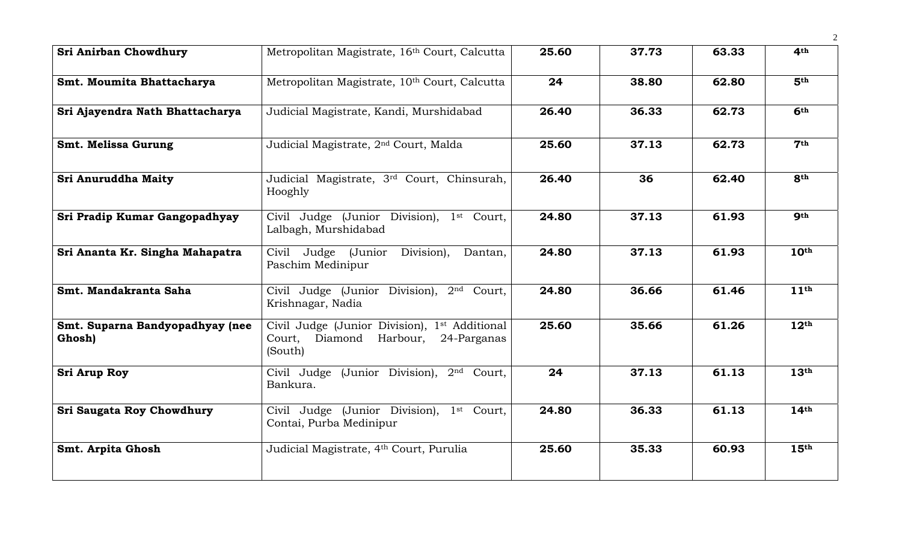| Sri Anirban Chowdhury                     | Metropolitan Magistrate, 16th Court, Calcutta                                                                     | 25.60 | 37.73 | 63.33 | 4 <sup>th</sup>  |
|-------------------------------------------|-------------------------------------------------------------------------------------------------------------------|-------|-------|-------|------------------|
| Smt. Moumita Bhattacharya                 | Metropolitan Magistrate, 10 <sup>th</sup> Court, Calcutta                                                         | 24    | 38.80 | 62.80 | 5 <sup>th</sup>  |
| Sri Ajayendra Nath Bhattacharya           | Judicial Magistrate, Kandi, Murshidabad                                                                           | 26.40 | 36.33 | 62.73 | 6 <sup>th</sup>  |
| Smt. Melissa Gurung                       | Judicial Magistrate, 2 <sup>nd</sup> Court, Malda                                                                 | 25.60 | 37.13 | 62.73 | 7 <sup>th</sup>  |
| Sri Anuruddha Maity                       | Judicial Magistrate, 3rd Court, Chinsurah,<br>Hooghly                                                             | 26.40 | 36    | 62.40 | <b>8th</b>       |
| Sri Pradip Kumar Gangopadhyay             | Civil Judge (Junior Division), 1 <sup>st</sup> Court,<br>Lalbagh, Murshidabad                                     | 24.80 | 37.13 | 61.93 | <b>gth</b>       |
| Sri Ananta Kr. Singha Mahapatra           | Civil Judge (Junior Division),<br>Dantan,<br>Paschim Medinipur                                                    | 24.80 | 37.13 | 61.93 | 10 <sup>th</sup> |
| Smt. Mandakranta Saha                     | Civil Judge (Junior Division), 2 <sup>nd</sup> Court,<br>Krishnagar, Nadia                                        | 24.80 | 36.66 | 61.46 | 11 <sup>th</sup> |
| Smt. Suparna Bandyopadhyay (nee<br>Ghosh) | Civil Judge (Junior Division), 1 <sup>st</sup> Additional<br>Diamond Harbour,<br>Court,<br>24-Parganas<br>(South) | 25.60 | 35.66 | 61.26 | 12 <sup>th</sup> |
| <b>Sri Arup Roy</b>                       | Civil Judge (Junior Division), 2 <sup>nd</sup> Court,<br>Bankura.                                                 | 24    | 37.13 | 61.13 | 13 <sup>th</sup> |
| Sri Saugata Roy Chowdhury                 | Civil Judge (Junior Division), 1st Court,<br>Contai, Purba Medinipur                                              | 24.80 | 36.33 | 61.13 | 14 <sup>th</sup> |
| <b>Smt. Arpita Ghosh</b>                  | Judicial Magistrate, 4th Court, Purulia                                                                           | 25.60 | 35.33 | 60.93 | 15 <sup>th</sup> |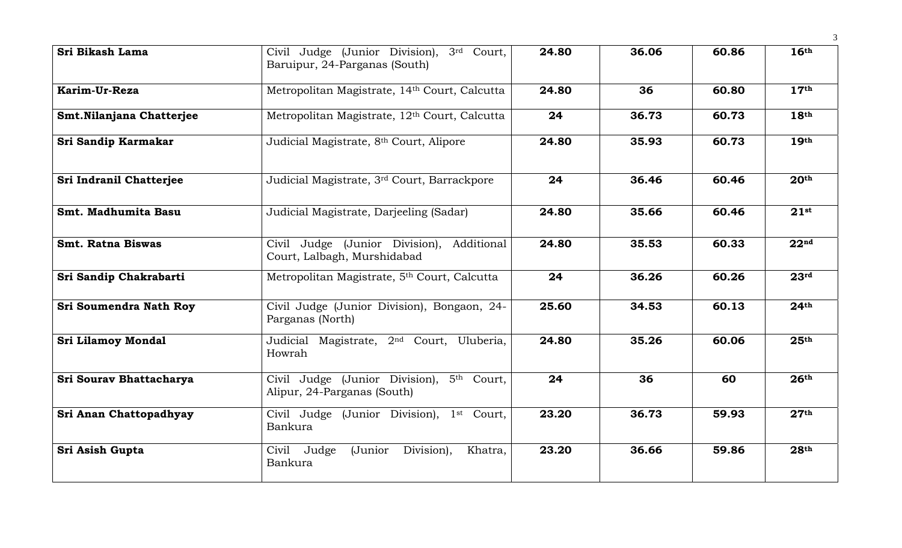| Sri Bikash Lama           | Civil Judge (Junior Division), 3rd Court,<br>Baruipur, 24-Parganas (South) | 24.80 | 36.06 | 60.86 | 16 <sup>th</sup> |
|---------------------------|----------------------------------------------------------------------------|-------|-------|-------|------------------|
| Karim-Ur-Reza             | Metropolitan Magistrate, 14th Court, Calcutta                              | 24.80 | 36    | 60.80 | 17 <sup>th</sup> |
| Smt. Nilanjana Chatterjee | Metropolitan Magistrate, 12th Court, Calcutta                              | 24    | 36.73 | 60.73 | 18 <sup>th</sup> |
| Sri Sandip Karmakar       | Judicial Magistrate, 8th Court, Alipore                                    | 24.80 | 35.93 | 60.73 | 19 <sup>th</sup> |
| Sri Indranil Chatterjee   | Judicial Magistrate, 3rd Court, Barrackpore                                | 24    | 36.46 | 60.46 | 20 <sup>th</sup> |
| Smt. Madhumita Basu       | Judicial Magistrate, Darjeeling (Sadar)                                    | 24.80 | 35.66 | 60.46 | $21$ st          |
| <b>Smt. Ratna Biswas</b>  | Civil Judge (Junior Division), Additional<br>Court, Lalbagh, Murshidabad   | 24.80 | 35.53 | 60.33 | 22 <sup>nd</sup> |
| Sri Sandip Chakrabarti    | Metropolitan Magistrate, 5th Court, Calcutta                               | 24    | 36.26 | 60.26 | 23 <sup>rd</sup> |
| Sri Soumendra Nath Roy    | Civil Judge (Junior Division), Bongaon, 24-<br>Parganas (North)            | 25.60 | 34.53 | 60.13 | 24 <sup>th</sup> |
| <b>Sri Lilamoy Mondal</b> | Judicial Magistrate, 2 <sup>nd</sup> Court, Uluberia,<br>Howrah            | 24.80 | 35.26 | 60.06 | 25 <sup>th</sup> |
| Sri Sourav Bhattacharya   | Civil Judge (Junior Division), 5th Court,<br>Alipur, 24-Parganas (South)   | 24    | 36    | 60    | 26 <sup>th</sup> |
| Sri Anan Chattopadhyay    | Civil Judge (Junior Division), 1st Court,<br>Bankura                       | 23.20 | 36.73 | 59.93 | 27 <sup>th</sup> |
| Sri Asish Gupta           | Civil Judge<br>(Junior<br>Division),<br>Khatra,<br>Bankura                 | 23.20 | 36.66 | 59.86 | 28 <sup>th</sup> |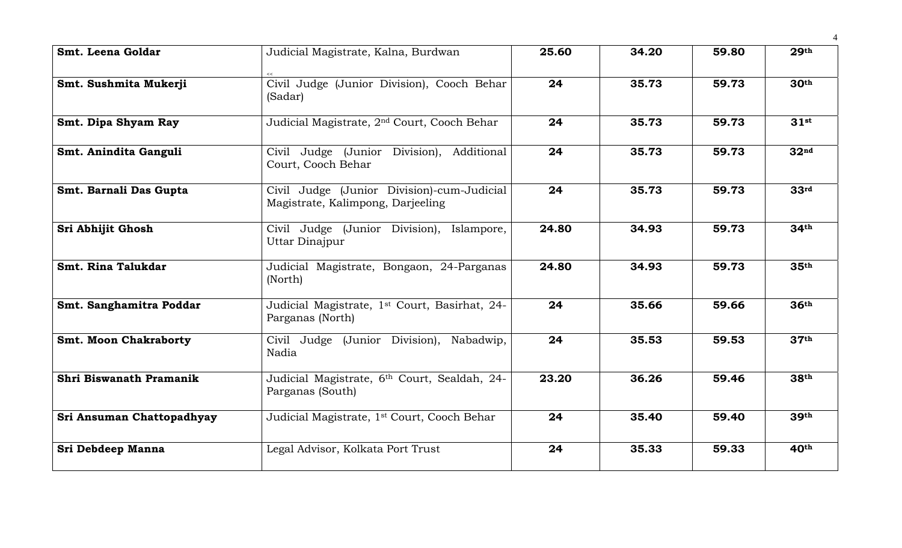| Smt. Leena Goldar            | Judicial Magistrate, Kalna, Burdwan                                             | 25.60 | 34.20 | 59.80 | 29 <sup>th</sup> |
|------------------------------|---------------------------------------------------------------------------------|-------|-------|-------|------------------|
| Smt. Sushmita Mukerji        | Civil Judge (Junior Division), Cooch Behar<br>(Sadar)                           | 24    | 35.73 | 59.73 | 30 <sup>th</sup> |
| Smt. Dipa Shyam Ray          | Judicial Magistrate, 2 <sup>nd</sup> Court, Cooch Behar                         | 24    | 35.73 | 59.73 | 31 <sup>st</sup> |
| Smt. Anindita Ganguli        | Civil Judge (Junior Division), Additional<br>Court, Cooch Behar                 | 24    | 35.73 | 59.73 | 32 <sup>nd</sup> |
| Smt. Barnali Das Gupta       | Civil Judge (Junior Division)-cum-Judicial<br>Magistrate, Kalimpong, Darjeeling | 24    | 35.73 | 59.73 | 33 <sup>rd</sup> |
| Sri Abhijit Ghosh            | Civil Judge (Junior Division), Islampore,<br>Uttar Dinajpur                     | 24.80 | 34.93 | 59.73 | 34 <sup>th</sup> |
| Smt. Rina Talukdar           | Judicial Magistrate, Bongaon, 24-Parganas<br>(North)                            | 24.80 | 34.93 | 59.73 | 35 <sup>th</sup> |
| Smt. Sanghamitra Poddar      | Judicial Magistrate, 1st Court, Basirhat, 24-<br>Parganas (North)               | 24    | 35.66 | 59.66 | 36 <sup>th</sup> |
| <b>Smt. Moon Chakraborty</b> | Civil Judge (Junior Division),<br>Nabadwip,<br>Nadia                            | 24    | 35.53 | 59.53 | 37 <sup>th</sup> |
| Shri Biswanath Pramanik      | Judicial Magistrate, 6th Court, Sealdah, 24-<br>Parganas (South)                | 23.20 | 36.26 | 59.46 | 38th             |
| Sri Ansuman Chattopadhyay    | Judicial Magistrate, 1 <sup>st</sup> Court, Cooch Behar                         | 24    | 35.40 | 59.40 | 39th             |
| Sri Debdeep Manna            | Legal Advisor, Kolkata Port Trust                                               | 24    | 35.33 | 59.33 | 40 <sup>th</sup> |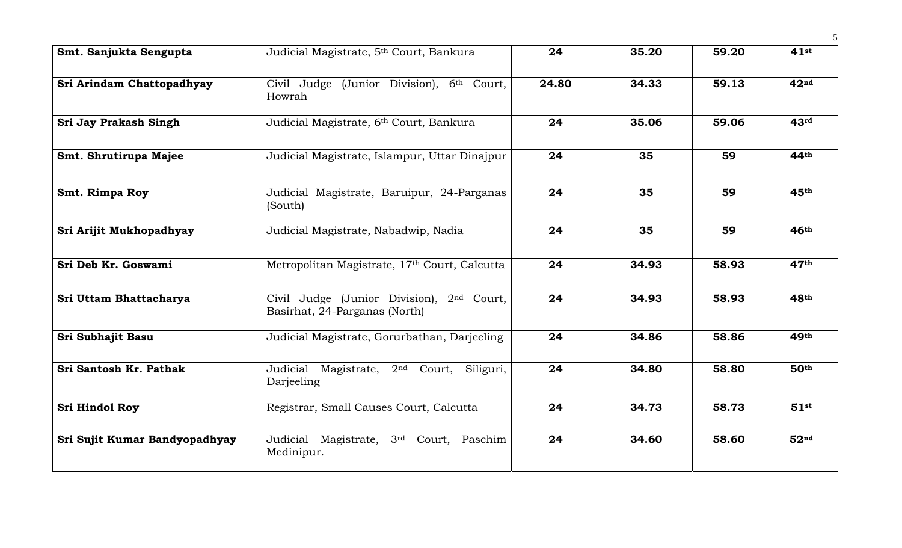| Smt. Sanjukta Sengupta        | Judicial Magistrate, 5th Court, Bankura                                         | 24    | 35.20 | 59.20 | 41st             |
|-------------------------------|---------------------------------------------------------------------------------|-------|-------|-------|------------------|
| Sri Arindam Chattopadhyay     | Civil Judge (Junior Division), 6th Court,<br>Howrah                             | 24.80 | 34.33 | 59.13 | 42 <sup>nd</sup> |
| Sri Jay Prakash Singh         | Judicial Magistrate, 6th Court, Bankura                                         | 24    | 35.06 | 59.06 | 43 <sup>rd</sup> |
| Smt. Shrutirupa Majee         | Judicial Magistrate, Islampur, Uttar Dinajpur                                   | 24    | 35    | 59    | 44th             |
| Smt. Rimpa Roy                | Judicial Magistrate, Baruipur, 24-Parganas<br>(South)                           | 24    | 35    | 59    | 45th             |
| Sri Arijit Mukhopadhyay       | Judicial Magistrate, Nabadwip, Nadia                                            | 24    | 35    | 59    | 46 <sup>th</sup> |
| Sri Deb Kr. Goswami           | Metropolitan Magistrate, 17th Court, Calcutta                                   | 24    | 34.93 | 58.93 | 47 <sup>th</sup> |
| Sri Uttam Bhattacharya        | Civil Judge (Junior Division),<br>$2nd$ Court,<br>Basirhat, 24-Parganas (North) | 24    | 34.93 | 58.93 | 48th             |
| Sri Subhajit Basu             | Judicial Magistrate, Gorurbathan, Darjeeling                                    | 24    | 34.86 | 58.86 | 49th             |
| Sri Santosh Kr. Pathak        | Judicial Magistrate, 2 <sup>nd</sup> Court,<br>Siliguri,<br>Darjeeling          | 24    | 34.80 | 58.80 | 50 <sup>th</sup> |
| <b>Sri Hindol Roy</b>         | Registrar, Small Causes Court, Calcutta                                         | 24    | 34.73 | 58.73 | $51$ st          |
| Sri Sujit Kumar Bandyopadhyay | Judicial Magistrate, 3rd<br>Court, Paschim<br>Medinipur.                        | 24    | 34.60 | 58.60 | 52 <sup>nd</sup> |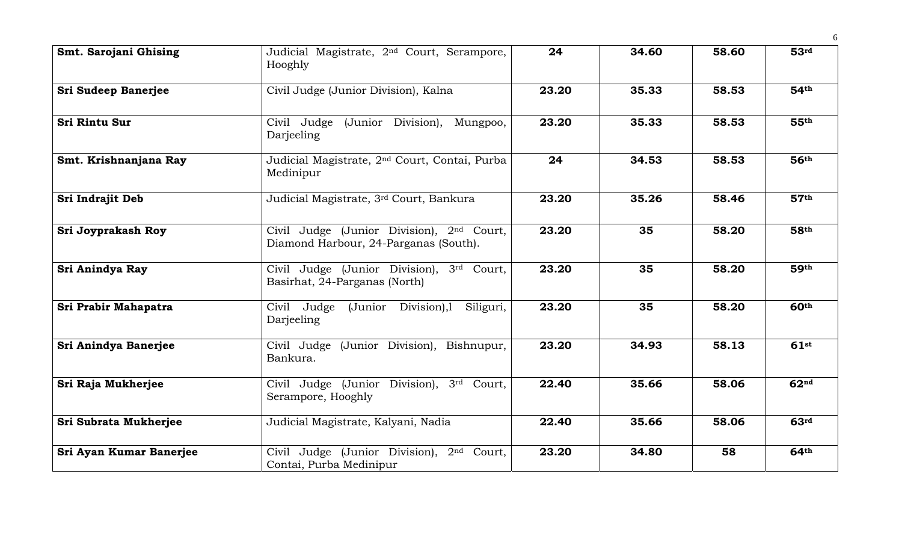| Smt. Sarojani Ghising      | Judicial Magistrate, 2 <sup>nd</sup> Court, Serampore,<br>Hooghly                              | 24    | 34.60 | 58.60 | 53 <sup>rd</sup>            |
|----------------------------|------------------------------------------------------------------------------------------------|-------|-------|-------|-----------------------------|
| <b>Sri Sudeep Banerjee</b> | Civil Judge (Junior Division), Kalna                                                           | 23.20 | 35.33 | 58.53 | 54 <sup>th</sup>            |
| <b>Sri Rintu Sur</b>       | (Junior Division), Mungpoo,<br>Civil Judge<br>Darjeeling                                       | 23.20 | 35.33 | 58.53 | 55 <sup>th</sup>            |
| Smt. Krishnanjana Ray      | Judicial Magistrate, 2 <sup>nd</sup> Court, Contai, Purba<br>Medinipur                         | 24    | 34.53 | 58.53 | 56 <sup>th</sup>            |
| <b>Sri Indrajit Deb</b>    | Judicial Magistrate, 3rd Court, Bankura                                                        | 23.20 | 35.26 | 58.46 | 57 <sup>th</sup>            |
| Sri Joyprakash Roy         | Civil Judge (Junior Division), 2 <sup>nd</sup> Court,<br>Diamond Harbour, 24-Parganas (South). | 23.20 | 35    | 58.20 | 58 <sup>th</sup>            |
| Sri Anindya Ray            | Civil Judge (Junior Division), 3rd Court,<br>Basirhat, 24-Parganas (North)                     | 23.20 | 35    | 58.20 | 59 <sup>th</sup>            |
| Sri Prabir Mahapatra       | Civil Judge<br>(Junior Division),l<br>Siliguri,<br>Darjeeling                                  | 23.20 | 35    | 58.20 | $60^{\overline{\text{th}}}$ |
| Sri Anindya Banerjee       | Civil Judge (Junior Division), Bishnupur,<br>Bankura.                                          | 23.20 | 34.93 | 58.13 | $61$ st                     |
| Sri Raja Mukherjee         | Civil Judge (Junior Division), 3rd Court,<br>Serampore, Hooghly                                | 22.40 | 35.66 | 58.06 | 62 <sup>nd</sup>            |
| Sri Subrata Mukherjee      | Judicial Magistrate, Kalyani, Nadia                                                            | 22.40 | 35.66 | 58.06 | 63 <sup>rd</sup>            |
| Sri Ayan Kumar Banerjee    | Civil Judge (Junior Division), 2 <sup>nd</sup> Court,<br>Contai, Purba Medinipur               | 23.20 | 34.80 | 58    | 64 <sup>th</sup>            |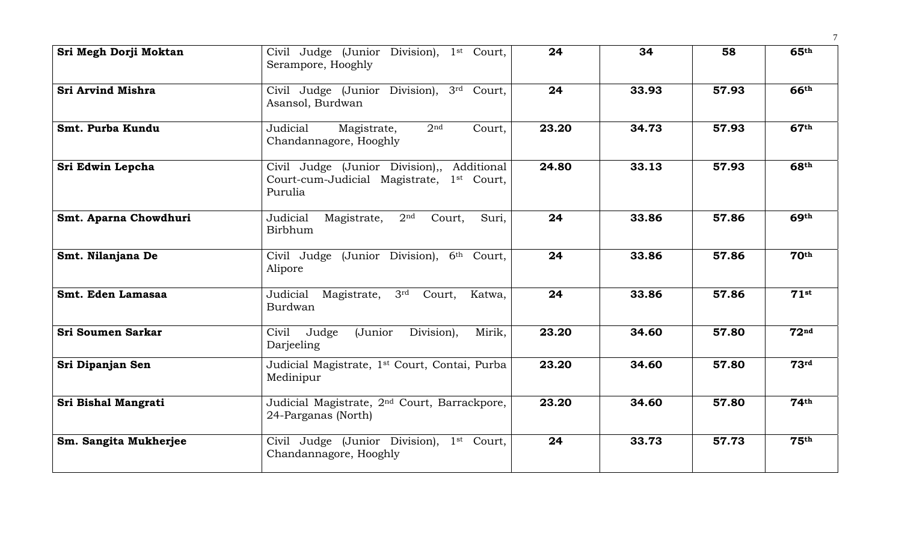| Sri Megh Dorji Moktan    | Civil Judge (Junior Division), 1st Court,<br>Serampore, Hooghly                                                | 24    | 34    | 58    | 65 <sup>th</sup> |
|--------------------------|----------------------------------------------------------------------------------------------------------------|-------|-------|-------|------------------|
| <b>Sri Arvind Mishra</b> | Civil Judge (Junior Division), 3rd Court,<br>Asansol, Burdwan                                                  | 24    | 33.93 | 57.93 | <b>66th</b>      |
| Smt. Purba Kundu         | Judicial<br>2 <sub>nd</sub><br>Magistrate,<br>Court,<br>Chandannagore, Hooghly                                 | 23.20 | 34.73 | 57.93 | 67 <sup>th</sup> |
| Sri Edwin Lepcha         | Civil Judge (Junior Division),, Additional<br>Court-cum-Judicial Magistrate, 1 <sup>st</sup> Court,<br>Purulia | 24.80 | 33.13 | 57.93 | 68 <sup>th</sup> |
| Smt. Aparna Chowdhuri    | Judicial<br>Magistrate,<br>2 <sup>nd</sup><br>Court,<br>Suri,<br>Birbhum                                       | 24    | 33.86 | 57.86 | 69 <sup>th</sup> |
| Smt. Nilanjana De        | Civil Judge (Junior Division), 6th Court,<br>Alipore                                                           | 24    | 33.86 | 57.86 | 70 <sup>th</sup> |
| Smt. Eden Lamasaa        | Judicial<br>3 <sup>rd</sup><br>Magistrate,<br>Court,<br>Katwa,<br>Burdwan                                      | 24    | 33.86 | 57.86 | $71$ st          |
| <b>Sri Soumen Sarkar</b> | Division),<br>Mirik,<br>Civil<br>Judge<br>(Junior<br>Darjeeling                                                | 23.20 | 34.60 | 57.80 | 72 <sup>nd</sup> |
| Sri Dipanjan Sen         | Judicial Magistrate, 1 <sup>st</sup> Court, Contai, Purba<br>Medinipur                                         | 23.20 | 34.60 | 57.80 | 73 <sup>rd</sup> |
| Sri Bishal Mangrati      | Judicial Magistrate, 2 <sup>nd</sup> Court, Barrackpore,<br>24-Parganas (North)                                | 23.20 | 34.60 | 57.80 | 74 <sup>th</sup> |
| Sm. Sangita Mukherjee    | Civil Judge (Junior Division), 1st Court,<br>Chandannagore, Hooghly                                            | 24    | 33.73 | 57.73 | 75 <sup>th</sup> |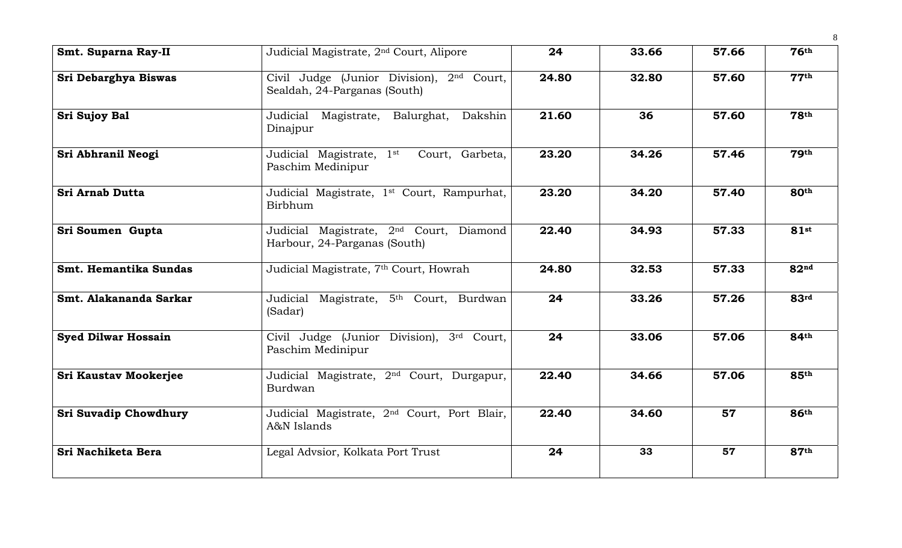| Smt. Suparna Ray-II          | Judicial Magistrate, 2 <sup>nd</sup> Court, Alipore                                   | 24    | 33.66 | 57.66 | 76 <sup>th</sup> |
|------------------------------|---------------------------------------------------------------------------------------|-------|-------|-------|------------------|
| Sri Debarghya Biswas         | Civil Judge (Junior Division), 2 <sup>nd</sup> Court,<br>Sealdah, 24-Parganas (South) | 24.80 | 32.80 | 57.60 | 77 <sup>th</sup> |
| <b>Sri Sujoy Bal</b>         | Judicial Magistrate, Balurghat, Dakshin<br>Dinajpur                                   | 21.60 | 36    | 57.60 | <b>78th</b>      |
| Sri Abhranil Neogi           | Judicial Magistrate, 1st<br>Court, Garbeta,<br>Paschim Medinipur                      | 23.20 | 34.26 | 57.46 | 79 <sup>th</sup> |
| <b>Sri Arnab Dutta</b>       | Judicial Magistrate, 1 <sup>st</sup> Court, Rampurhat,<br>Birbhum                     | 23.20 | 34.20 | 57.40 | 80 <sup>th</sup> |
| Sri Soumen Gupta             | Judicial Magistrate, 2 <sup>nd</sup> Court, Diamond<br>Harbour, 24-Parganas (South)   | 22.40 | 34.93 | 57.33 | $81$ st          |
| Smt. Hemantika Sundas        | Judicial Magistrate, 7 <sup>th</sup> Court, Howrah                                    | 24.80 | 32.53 | 57.33 | 82 <sup>nd</sup> |
| Smt. Alakananda Sarkar       | Judicial Magistrate, 5 <sup>th</sup> Court, Burdwan<br>(Sadar)                        | 24    | 33.26 | 57.26 | 83 <sup>rd</sup> |
| <b>Syed Dilwar Hossain</b>   | Civil Judge (Junior Division), 3rd Court,<br>Paschim Medinipur                        | 24    | 33.06 | 57.06 | 84th             |
| <b>Sri Kaustav Mookerjee</b> | Judicial Magistrate, 2 <sup>nd</sup> Court, Durgapur,<br>Burdwan                      | 22.40 | 34.66 | 57.06 | 85th             |
| Sri Suvadip Chowdhury        | Judicial Magistrate, 2 <sup>nd</sup> Court, Port Blair,<br>A&N Islands                | 22.40 | 34.60 | 57    | 86 <sup>th</sup> |
| Sri Nachiketa Bera           | Legal Advsior, Kolkata Port Trust                                                     | 24    | 33    | 57    | 87 <sup>th</sup> |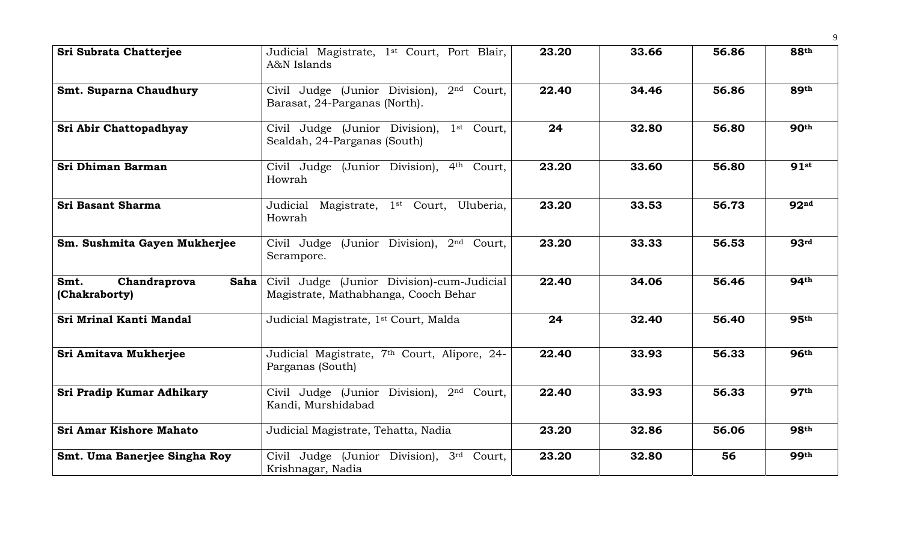| <b>Sri Subrata Chatterjee</b>                 | Judicial Magistrate, 1 <sup>st</sup> Court, Port Blair,<br>A&N Islands                   | 23.20 | 33.66 | 56.86 | 88th             |
|-----------------------------------------------|------------------------------------------------------------------------------------------|-------|-------|-------|------------------|
| <b>Smt. Suparna Chaudhury</b>                 | Civil Judge (Junior Division), 2nd Court,<br>Barasat, 24-Parganas (North).               | 22.40 | 34.46 | 56.86 | 89th             |
| Sri Abir Chattopadhyay                        | Civil Judge (Junior Division),<br>1 <sup>st</sup> Court,<br>Sealdah, 24-Parganas (South) | 24    | 32.80 | 56.80 | 90 <sup>th</sup> |
| Sri Dhiman Barman                             | Civil Judge (Junior Division), 4th Court,<br>Howrah                                      | 23.20 | 33.60 | 56.80 | 91st             |
| Sri Basant Sharma                             | Judicial Magistrate, 1 <sup>st</sup> Court, Uluberia,<br>Howrah                          | 23.20 | 33.53 | 56.73 | 92 <sup>nd</sup> |
| Sm. Sushmita Gayen Mukherjee                  | Civil Judge (Junior Division), 2 <sup>nd</sup> Court,<br>Serampore.                      | 23.20 | 33.33 | 56.53 | 93 <sup>rd</sup> |
| Chandraprova<br>Smt.<br>Saha<br>(Chakraborty) | Civil Judge (Junior Division)-cum-Judicial<br>Magistrate, Mathabhanga, Cooch Behar       | 22.40 | 34.06 | 56.46 | <b>94th</b>      |
| Sri Mrinal Kanti Mandal                       | Judicial Magistrate, 1 <sup>st</sup> Court, Malda                                        | 24    | 32.40 | 56.40 | 95 <sup>th</sup> |
| Sri Amitava Mukherjee                         | Judicial Magistrate, 7 <sup>th</sup> Court, Alipore, 24-<br>Parganas (South)             | 22.40 | 33.93 | 56.33 | 96 <sup>th</sup> |
| Sri Pradip Kumar Adhikary                     | Civil Judge (Junior Division), 2 <sup>nd</sup> Court,<br>Kandi, Murshidabad              | 22.40 | 33.93 | 56.33 | 97 <sup>th</sup> |
| Sri Amar Kishore Mahato                       | Judicial Magistrate, Tehatta, Nadia                                                      | 23.20 | 32.86 | 56.06 | <b>98th</b>      |
| Smt. Uma Banerjee Singha Roy                  | Civil Judge (Junior Division), 3rd Court,<br>Krishnagar, Nadia                           | 23.20 | 32.80 | 56    | <b>99th</b>      |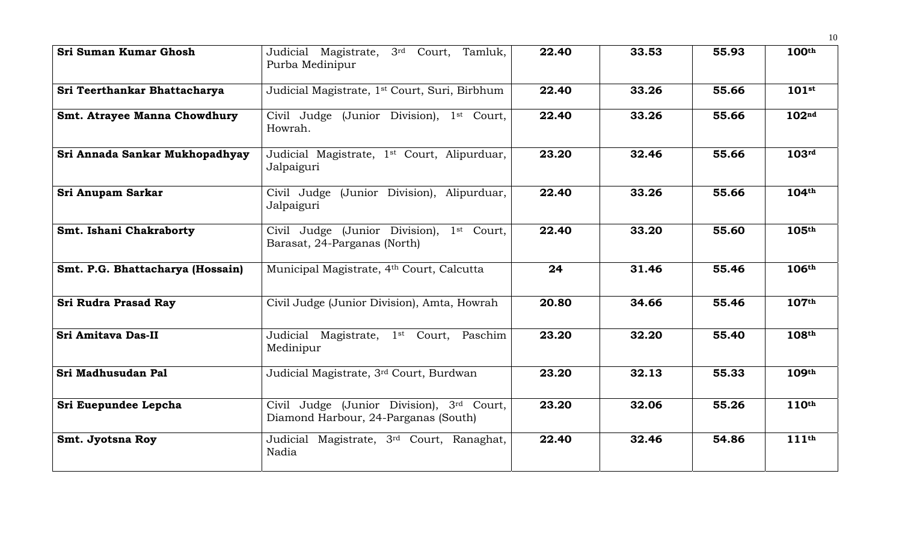| Sri Suman Kumar Ghosh               | Judicial Magistrate, 3rd Court, Tamluk,<br>Purba Medinipur                               | 22.40 | 33.53 | 55.93 | 100 <sup>th</sup> |
|-------------------------------------|------------------------------------------------------------------------------------------|-------|-------|-------|-------------------|
| Sri Teerthankar Bhattacharya        | Judicial Magistrate, 1 <sup>st</sup> Court, Suri, Birbhum                                | 22.40 | 33.26 | 55.66 | $101$ st          |
| <b>Smt. Atrayee Manna Chowdhury</b> | Civil Judge (Junior Division), 1 <sup>st</sup> Court,<br>Howrah.                         | 22.40 | 33.26 | 55.66 | 102 <sup>nd</sup> |
| Sri Annada Sankar Mukhopadhyay      | Judicial Magistrate, 1 <sup>st</sup> Court, Alipurduar,<br>Jalpaiguri                    | 23.20 | 32.46 | 55.66 | 103 <sup>rd</sup> |
| Sri Anupam Sarkar                   | Civil Judge (Junior Division), Alipurduar,<br>Jalpaiguri                                 | 22.40 | 33.26 | 55.66 | 104 <sup>th</sup> |
| Smt. Ishani Chakraborty             | Civil Judge (Junior Division),<br>1 <sup>st</sup> Court,<br>Barasat, 24-Parganas (North) | 22.40 | 33.20 | 55.60 | 105 <sup>th</sup> |
| Smt. P.G. Bhattacharya (Hossain)    | Municipal Magistrate, 4th Court, Calcutta                                                | 24    | 31.46 | 55.46 | 106 <sup>th</sup> |
| <b>Sri Rudra Prasad Ray</b>         | Civil Judge (Junior Division), Amta, Howrah                                              | 20.80 | 34.66 | 55.46 | 107th             |
| Sri Amitava Das-II                  | Judicial Magistrate, 1 <sup>st</sup> Court, Paschim<br>Medinipur                         | 23.20 | 32.20 | 55.40 | 108th             |
| Sri Madhusudan Pal                  | Judicial Magistrate, 3rd Court, Burdwan                                                  | 23.20 | 32.13 | 55.33 | 109th             |
| Sri Euepundee Lepcha                | Civil Judge (Junior Division), 3rd Court,<br>Diamond Harbour, 24-Parganas (South)        | 23.20 | 32.06 | 55.26 | 110 <sup>th</sup> |
| Smt. Jyotsna Roy                    | Judicial Magistrate, 3 <sup>rd</sup> Court, Ranaghat,<br>Nadia                           | 22.40 | 32.46 | 54.86 | 111 <sup>th</sup> |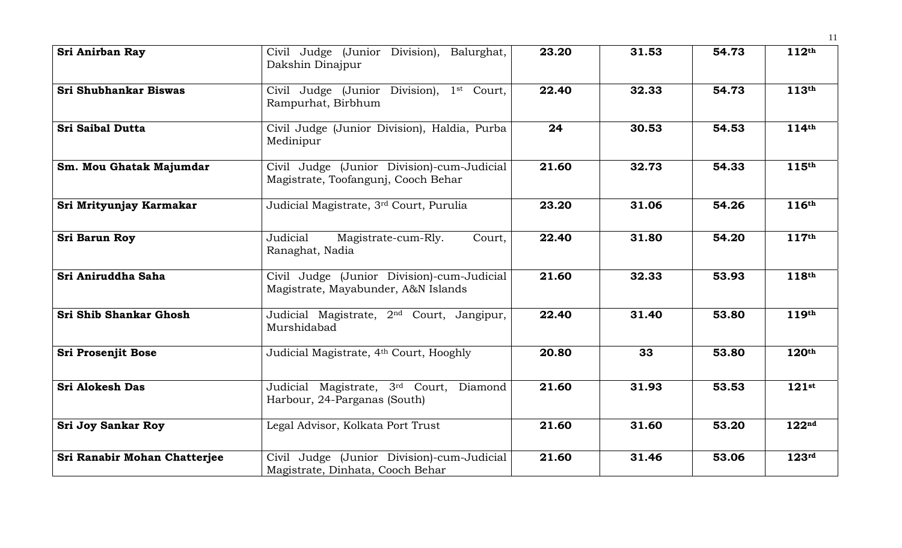| <b>Sri Anirban Ray</b>       | Civil Judge (Junior Division), Balurghat,<br>Dakshin Dinajpur                     | 23.20 | 31.53 | 54.73 | 112 <sup>th</sup> |
|------------------------------|-----------------------------------------------------------------------------------|-------|-------|-------|-------------------|
| <b>Sri Shubhankar Biswas</b> | Civil Judge (Junior Division), 1st Court,<br>Rampurhat, Birbhum                   | 22.40 | 32.33 | 54.73 | 113th             |
| <b>Sri Saibal Dutta</b>      | Civil Judge (Junior Division), Haldia, Purba<br>Medinipur                         | 24    | 30.53 | 54.53 | 114 <sup>th</sup> |
| Sm. Mou Ghatak Majumdar      | Civil Judge (Junior Division)-cum-Judicial<br>Magistrate, Toofangunj, Cooch Behar | 21.60 | 32.73 | 54.33 | 115th             |
| Sri Mrityunjay Karmakar      | Judicial Magistrate, 3rd Court, Purulia                                           | 23.20 | 31.06 | 54.26 | 116th             |
| Sri Barun Roy                | Magistrate-cum-Rly.<br>Judicial<br>Court,<br>Ranaghat, Nadia                      | 22.40 | 31.80 | 54.20 | 117th             |
| Sri Aniruddha Saha           | Civil Judge (Junior Division)-cum-Judicial<br>Magistrate, Mayabunder, A&N Islands | 21.60 | 32.33 | 53.93 | $118^{\text{th}}$ |
| Sri Shib Shankar Ghosh       | Judicial Magistrate, 2 <sup>nd</sup> Court, Jangipur,<br>Murshidabad              | 22.40 | 31.40 | 53.80 | 119th             |
| <b>Sri Prosenjit Bose</b>    | Judicial Magistrate, 4th Court, Hooghly                                           | 20.80 | 33    | 53.80 | 120 <sup>th</sup> |
| <b>Sri Alokesh Das</b>       | Judicial Magistrate, 3rd Court, Diamond<br>Harbour, 24-Parganas (South)           | 21.60 | 31.93 | 53.53 | $121$ st          |
| <b>Sri Joy Sankar Roy</b>    | Legal Advisor, Kolkata Port Trust                                                 | 21.60 | 31.60 | 53.20 | 122 <sup>nd</sup> |
| Sri Ranabir Mohan Chatterjee | Civil Judge (Junior Division)-cum-Judicial<br>Magistrate, Dinhata, Cooch Behar    | 21.60 | 31.46 | 53.06 | 123 <sup>rd</sup> |